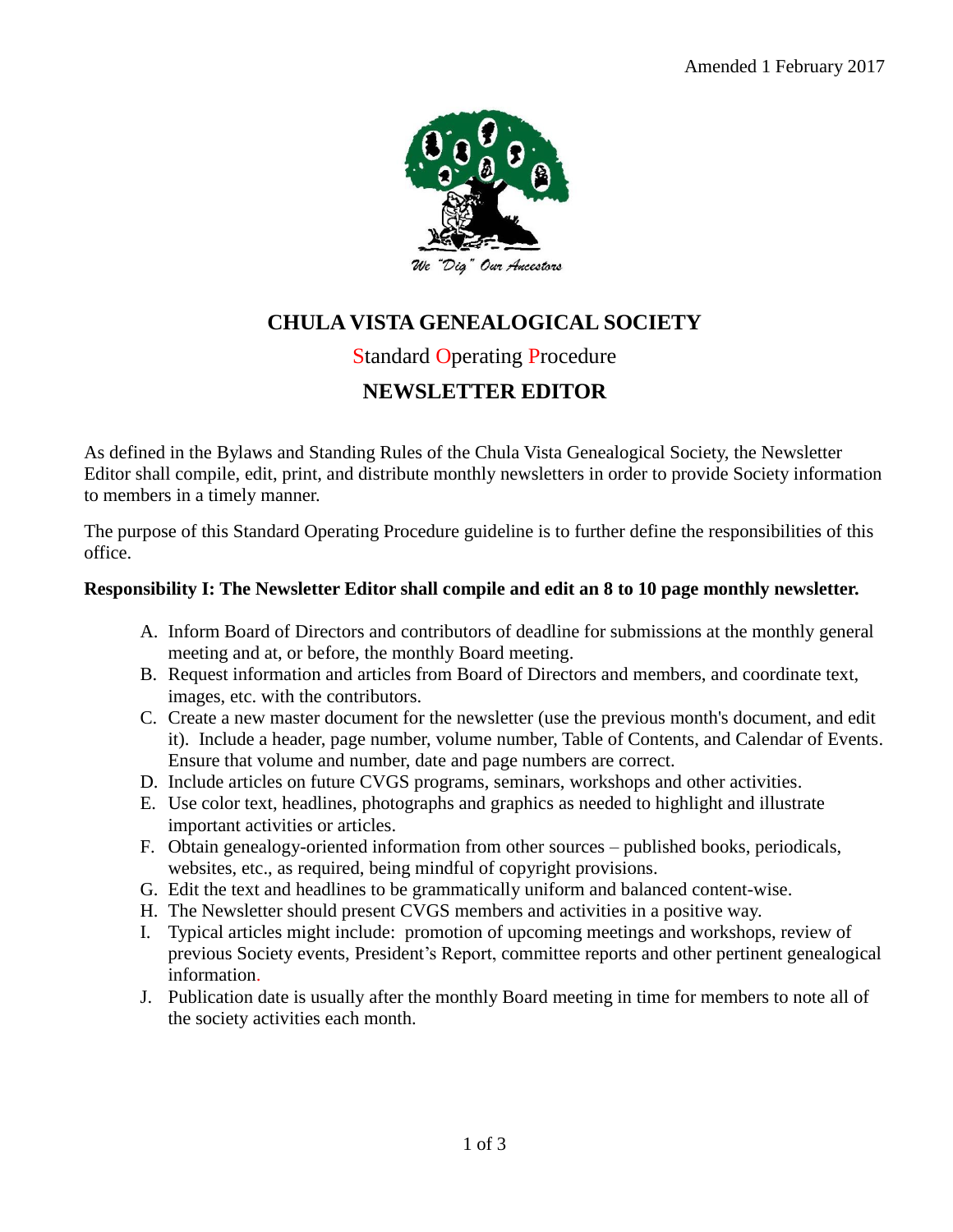

# **CHULA VISTA GENEALOGICAL SOCIETY**

## Standard Operating Procedure

# **NEWSLETTER EDITOR**

As defined in the Bylaws and Standing Rules of the Chula Vista Genealogical Society, the Newsletter Editor shall compile, edit, print, and distribute monthly newsletters in order to provide Society information to members in a timely manner.

The purpose of this Standard Operating Procedure guideline is to further define the responsibilities of this office.

#### **Responsibility I: The Newsletter Editor shall compile and edit an 8 to 10 page monthly newsletter.**

- A. Inform Board of Directors and contributors of deadline for submissions at the monthly general meeting and at, or before, the monthly Board meeting.
- B. Request information and articles from Board of Directors and members, and coordinate text, images, etc. with the contributors.
- C. Create a new master document for the newsletter (use the previous month's document, and edit it). Include a header, page number, volume number, Table of Contents, and Calendar of Events. Ensure that volume and number, date and page numbers are correct.
- D. Include articles on future CVGS programs, seminars, workshops and other activities.
- E. Use color text, headlines, photographs and graphics as needed to highlight and illustrate important activities or articles.
- F. Obtain genealogy-oriented information from other sources published books, periodicals, websites, etc., as required, being mindful of copyright provisions.
- G. Edit the text and headlines to be grammatically uniform and balanced content-wise.
- H. The Newsletter should present CVGS members and activities in a positive way.
- I. Typical articles might include: promotion of upcoming meetings and workshops, review of previous Society events, President's Report, committee reports and other pertinent genealogical information.
- J. Publication date is usually after the monthly Board meeting in time for members to note all of the society activities each month.